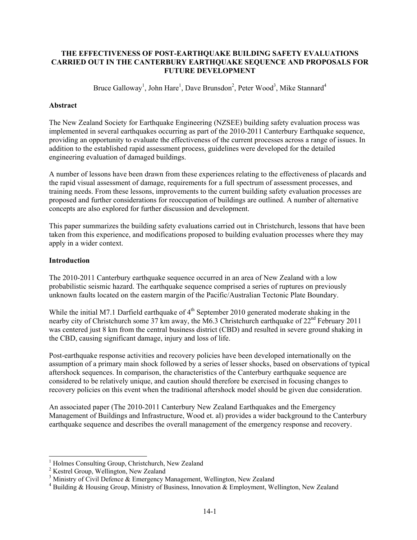# **THE EFFECTIVENESS OF POST-EARTHQUAKE BUILDING SAFETY EVALUATIONS CARRIED OUT IN THE CANTERBURY EARTHQUAKE SEQUENCE AND PROPOSALS FOR FUTURE DEVELOPMENT**

Bruce Galloway<sup>1</sup>, John Hare<sup>1</sup>, Dave Brunsdon<sup>2</sup>, Peter Wood<sup>3</sup>, Mike Stannard<sup>4</sup>

# **Abstract**

The New Zealand Society for Earthquake Engineering (NZSEE) building safety evaluation process was implemented in several earthquakes occurring as part of the 2010-2011 Canterbury Earthquake sequence, providing an opportunity to evaluate the effectiveness of the current processes across a range of issues. In addition to the established rapid assessment process, guidelines were developed for the detailed engineering evaluation of damaged buildings.

A number of lessons have been drawn from these experiences relating to the effectiveness of placards and the rapid visual assessment of damage, requirements for a full spectrum of assessment processes, and training needs. From these lessons, improvements to the current building safety evaluation processes are proposed and further considerations for reoccupation of buildings are outlined. A number of alternative concepts are also explored for further discussion and development.

This paper summarizes the building safety evaluations carried out in Christchurch, lessons that have been taken from this experience, and modifications proposed to building evaluation processes where they may apply in a wider context.

# **Introduction**

 $\overline{a}$ 

The 2010-2011 Canterbury earthquake sequence occurred in an area of New Zealand with a low probabilistic seismic hazard. The earthquake sequence comprised a series of ruptures on previously unknown faults located on the eastern margin of the Pacific/Australian Tectonic Plate Boundary.

While the initial M7.1 Darfield earthquake of  $4<sup>th</sup>$  September 2010 generated moderate shaking in the nearby city of Christchurch some 37 km away, the M6.3 Christchurch earthquake of  $22^{nd}$  February 2011 was centered just 8 km from the central business district (CBD) and resulted in severe ground shaking in the CBD, causing significant damage, injury and loss of life.

Post-earthquake response activities and recovery policies have been developed internationally on the assumption of a primary main shock followed by a series of lesser shocks, based on observations of typical aftershock sequences. In comparison, the characteristics of the Canterbury earthquake sequence are considered to be relatively unique, and caution should therefore be exercised in focusing changes to recovery policies on this event when the traditional aftershock model should be given due consideration.

An associated paper (The 2010-2011 Canterbury New Zealand Earthquakes and the Emergency Management of Buildings and Infrastructure, Wood et. al) provides a wider background to the Canterbury earthquake sequence and describes the overall management of the emergency response and recovery.

<sup>1</sup> Holmes Consulting Group, Christchurch, New Zealand

<sup>&</sup>lt;sup>2</sup> Kestrel Group, Wellington, New Zealand

<sup>&</sup>lt;sup>3</sup> Ministry of Civil Defence & Emergency Management, Wellington, New Zealand

<sup>&</sup>lt;sup>4</sup> Building & Housing Group, Ministry of Business, Innovation & Employment, Wellington, New Zealand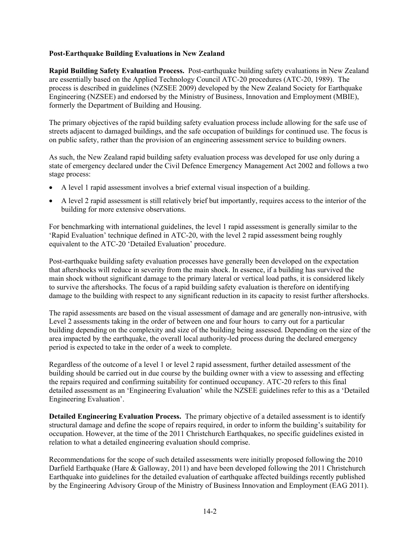# **Post-Earthquake Building Evaluations in New Zealand**

**Rapid Building Safety Evaluation Process.** Post-earthquake building safety evaluations in New Zealand are essentially based on the Applied Technology Council ATC-20 procedures (ATC-20, 1989). The process is described in guidelines (NZSEE 2009) developed by the New Zealand Society for Earthquake Engineering (NZSEE) and endorsed by the Ministry of Business, Innovation and Employment (MBIE), formerly the Department of Building and Housing.

The primary objectives of the rapid building safety evaluation process include allowing for the safe use of streets adjacent to damaged buildings, and the safe occupation of buildings for continued use. The focus is on public safety, rather than the provision of an engineering assessment service to building owners.

As such, the New Zealand rapid building safety evaluation process was developed for use only during a state of emergency declared under the Civil Defence Emergency Management Act 2002 and follows a two stage process:

- A level 1 rapid assessment involves a brief external visual inspection of a building.
- A level 2 rapid assessment is still relatively brief but importantly, requires access to the interior of the building for more extensive observations.

For benchmarking with international guidelines, the level 1 rapid assessment is generally similar to the 'Rapid Evaluation' technique defined in ATC-20, with the level 2 rapid assessment being roughly equivalent to the ATC-20 'Detailed Evaluation' procedure.

Post-earthquake building safety evaluation processes have generally been developed on the expectation that aftershocks will reduce in severity from the main shock. In essence, if a building has survived the main shock without significant damage to the primary lateral or vertical load paths, it is considered likely to survive the aftershocks. The focus of a rapid building safety evaluation is therefore on identifying damage to the building with respect to any significant reduction in its capacity to resist further aftershocks.

The rapid assessments are based on the visual assessment of damage and are generally non-intrusive, with Level 2 assessments taking in the order of between one and four hours to carry out for a particular building depending on the complexity and size of the building being assessed. Depending on the size of the area impacted by the earthquake, the overall local authority-led process during the declared emergency period is expected to take in the order of a week to complete.

Regardless of the outcome of a level 1 or level 2 rapid assessment, further detailed assessment of the building should be carried out in due course by the building owner with a view to assessing and effecting the repairs required and confirming suitability for continued occupancy. ATC-20 refers to this final detailed assessment as an 'Engineering Evaluation' while the NZSEE guidelines refer to this as a 'Detailed Engineering Evaluation'.

**Detailed Engineering Evaluation Process.** The primary objective of a detailed assessment is to identify structural damage and define the scope of repairs required, in order to inform the building's suitability for occupation. However, at the time of the 2011 Christchurch Earthquakes, no specific guidelines existed in relation to what a detailed engineering evaluation should comprise.

Recommendations for the scope of such detailed assessments were initially proposed following the 2010 Darfield Earthquake (Hare & Galloway, 2011) and have been developed following the 2011 Christchurch Earthquake into guidelines for the detailed evaluation of earthquake affected buildings recently published by the Engineering Advisory Group of the Ministry of Business Innovation and Employment (EAG 2011).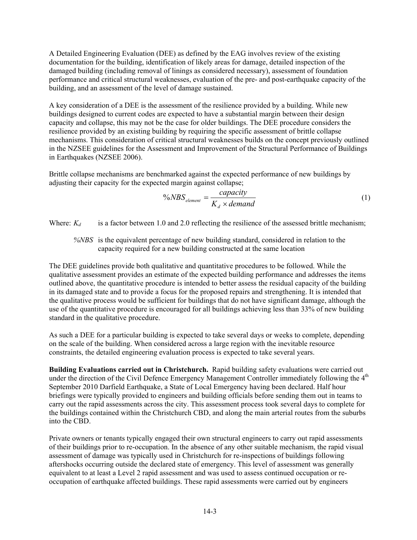A Detailed Engineering Evaluation (DEE) as defined by the EAG involves review of the existing documentation for the building, identification of likely areas for damage, detailed inspection of the damaged building (including removal of linings as considered necessary), assessment of foundation performance and critical structural weaknesses, evaluation of the pre- and post-earthquake capacity of the building, and an assessment of the level of damage sustained.

A key consideration of a DEE is the assessment of the resilience provided by a building. While new buildings designed to current codes are expected to have a substantial margin between their design capacity and collapse, this may not be the case for older buildings. The DEE procedure considers the resilience provided by an existing building by requiring the specific assessment of brittle collapse mechanisms. This consideration of critical structural weaknesses builds on the concept previously outlined in the NZSEE guidelines for the Assessment and Improvement of the Structural Performance of Buildings in Earthquakes (NZSEE 2006).

Brittle collapse mechanisms are benchmarked against the expected performance of new buildings by adjusting their capacity for the expected margin against collapse;

$$
\frac{\%NBS_{element}}{K_d \times demand}
$$
 (1)

Where:  $K_d$  is a factor between 1.0 and 2.0 reflecting the resilience of the assessed brittle mechanism;

*%NBS* is the equivalent percentage of new building standard, considered in relation to the capacity required for a new building constructed at the same location

The DEE guidelines provide both qualitative and quantitative procedures to be followed. While the qualitative assessment provides an estimate of the expected building performance and addresses the items outlined above, the quantitative procedure is intended to better assess the residual capacity of the building in its damaged state and to provide a focus for the proposed repairs and strengthening. It is intended that the qualitative process would be sufficient for buildings that do not have significant damage, although the use of the quantitative procedure is encouraged for all buildings achieving less than 33% of new building standard in the qualitative procedure.

As such a DEE for a particular building is expected to take several days or weeks to complete, depending on the scale of the building. When considered across a large region with the inevitable resource constraints, the detailed engineering evaluation process is expected to take several years.

**Building Evaluations carried out in Christchurch.** Rapid building safety evaluations were carried out under the direction of the Civil Defence Emergency Management Controller immediately following the  $4<sup>th</sup>$ September 2010 Darfield Earthquake, a State of Local Emergency having been declared. Half hour briefings were typically provided to engineers and building officials before sending them out in teams to carry out the rapid assessments across the city. This assessment process took several days to complete for the buildings contained within the Christchurch CBD, and along the main arterial routes from the suburbs into the CBD.

Private owners or tenants typically engaged their own structural engineers to carry out rapid assessments of their buildings prior to re-occupation. In the absence of any other suitable mechanism, the rapid visual assessment of damage was typically used in Christchurch for re-inspections of buildings following aftershocks occurring outside the declared state of emergency. This level of assessment was generally equivalent to at least a Level 2 rapid assessment and was used to assess continued occupation or reoccupation of earthquake affected buildings. These rapid assessments were carried out by engineers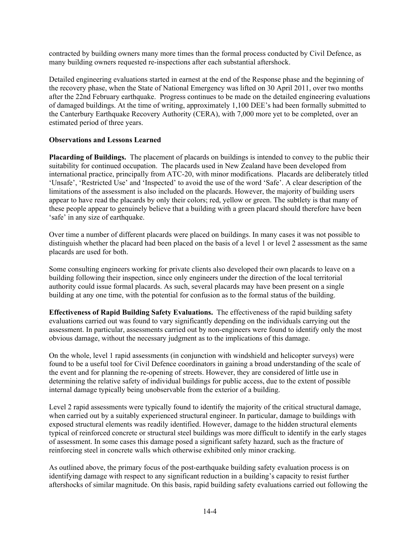contracted by building owners many more times than the formal process conducted by Civil Defence, as many building owners requested re-inspections after each substantial aftershock.

Detailed engineering evaluations started in earnest at the end of the Response phase and the beginning of the recovery phase, when the State of National Emergency was lifted on 30 April 2011, over two months after the 22nd February earthquake. Progress continues to be made on the detailed engineering evaluations of damaged buildings. At the time of writing, approximately 1,100 DEE's had been formally submitted to the Canterbury Earthquake Recovery Authority (CERA), with 7,000 more yet to be completed, over an estimated period of three years.

# **Observations and Lessons Learned**

**Placarding of Buildings.** The placement of placards on buildings is intended to convey to the public their suitability for continued occupation. The placards used in New Zealand have been developed from international practice, principally from ATC-20, with minor modifications. Placards are deliberately titled 'Unsafe', 'Restricted Use' and 'Inspected' to avoid the use of the word 'Safe'. A clear description of the limitations of the assessment is also included on the placards. However, the majority of building users appear to have read the placards by only their colors; red, yellow or green. The subtlety is that many of these people appear to genuinely believe that a building with a green placard should therefore have been 'safe' in any size of earthquake.

Over time a number of different placards were placed on buildings. In many cases it was not possible to distinguish whether the placard had been placed on the basis of a level 1 or level 2 assessment as the same placards are used for both.

Some consulting engineers working for private clients also developed their own placards to leave on a building following their inspection, since only engineers under the direction of the local territorial authority could issue formal placards. As such, several placards may have been present on a single building at any one time, with the potential for confusion as to the formal status of the building.

**Effectiveness of Rapid Building Safety Evaluations.** The effectiveness of the rapid building safety evaluations carried out was found to vary significantly depending on the individuals carrying out the assessment. In particular, assessments carried out by non-engineers were found to identify only the most obvious damage, without the necessary judgment as to the implications of this damage.

On the whole, level 1 rapid assessments (in conjunction with windshield and helicopter surveys) were found to be a useful tool for Civil Defence coordinators in gaining a broad understanding of the scale of the event and for planning the re-opening of streets. However, they are considered of little use in determining the relative safety of individual buildings for public access, due to the extent of possible internal damage typically being unobservable from the exterior of a building.

Level 2 rapid assessments were typically found to identify the majority of the critical structural damage, when carried out by a suitably experienced structural engineer. In particular, damage to buildings with exposed structural elements was readily identified. However, damage to the hidden structural elements typical of reinforced concrete or structural steel buildings was more difficult to identify in the early stages of assessment. In some cases this damage posed a significant safety hazard, such as the fracture of reinforcing steel in concrete walls which otherwise exhibited only minor cracking.

As outlined above, the primary focus of the post-earthquake building safety evaluation process is on identifying damage with respect to any significant reduction in a building's capacity to resist further aftershocks of similar magnitude. On this basis, rapid building safety evaluations carried out following the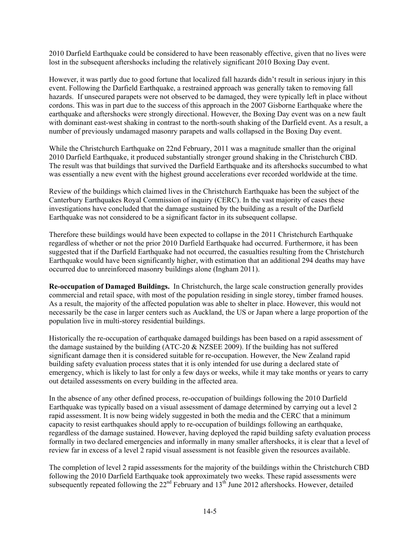2010 Darfield Earthquake could be considered to have been reasonably effective, given that no lives were lost in the subsequent aftershocks including the relatively significant 2010 Boxing Day event.

However, it was partly due to good fortune that localized fall hazards didn't result in serious injury in this event. Following the Darfield Earthquake, a restrained approach was generally taken to removing fall hazards. If unsecured parapets were not observed to be damaged, they were typically left in place without cordons. This was in part due to the success of this approach in the 2007 Gisborne Earthquake where the earthquake and aftershocks were strongly directional. However, the Boxing Day event was on a new fault with dominant east-west shaking in contrast to the north-south shaking of the Darfield event. As a result, a number of previously undamaged masonry parapets and walls collapsed in the Boxing Day event.

While the Christchurch Earthquake on 22nd February, 2011 was a magnitude smaller than the original 2010 Darfield Earthquake, it produced substantially stronger ground shaking in the Christchurch CBD. The result was that buildings that survived the Darfield Earthquake and its aftershocks succumbed to what was essentially a new event with the highest ground accelerations ever recorded worldwide at the time.

Review of the buildings which claimed lives in the Christchurch Earthquake has been the subject of the Canterbury Earthquakes Royal Commission of inquiry (CERC). In the vast majority of cases these investigations have concluded that the damage sustained by the building as a result of the Darfield Earthquake was not considered to be a significant factor in its subsequent collapse.

Therefore these buildings would have been expected to collapse in the 2011 Christchurch Earthquake regardless of whether or not the prior 2010 Darfield Earthquake had occurred. Furthermore, it has been suggested that if the Darfield Earthquake had not occurred, the casualties resulting from the Christchurch Earthquake would have been significantly higher, with estimation that an additional 294 deaths may have occurred due to unreinforced masonry buildings alone (Ingham 2011).

**Re-occupation of Damaged Buildings.** In Christchurch, the large scale construction generally provides commercial and retail space, with most of the population residing in single storey, timber framed houses. As a result, the majority of the affected population was able to shelter in place. However, this would not necessarily be the case in larger centers such as Auckland, the US or Japan where a large proportion of the population live in multi-storey residential buildings.

Historically the re-occupation of earthquake damaged buildings has been based on a rapid assessment of the damage sustained by the building (ATC-20  $\&$  NZSEE 2009). If the building has not suffered significant damage then it is considered suitable for re-occupation. However, the New Zealand rapid building safety evaluation process states that it is only intended for use during a declared state of emergency, which is likely to last for only a few days or weeks, while it may take months or years to carry out detailed assessments on every building in the affected area.

In the absence of any other defined process, re-occupation of buildings following the 2010 Darfield Earthquake was typically based on a visual assessment of damage determined by carrying out a level 2 rapid assessment. It is now being widely suggested in both the media and the CERC that a minimum capacity to resist earthquakes should apply to re-occupation of buildings following an earthquake, regardless of the damage sustained. However, having deployed the rapid building safety evaluation process formally in two declared emergencies and informally in many smaller aftershocks, it is clear that a level of review far in excess of a level 2 rapid visual assessment is not feasible given the resources available.

The completion of level 2 rapid assessments for the majority of the buildings within the Christchurch CBD following the 2010 Darfield Earthquake took approximately two weeks. These rapid assessments were subsequently repeated following the  $22<sup>nd</sup>$  February and  $13<sup>th</sup>$  June 2012 aftershocks. However, detailed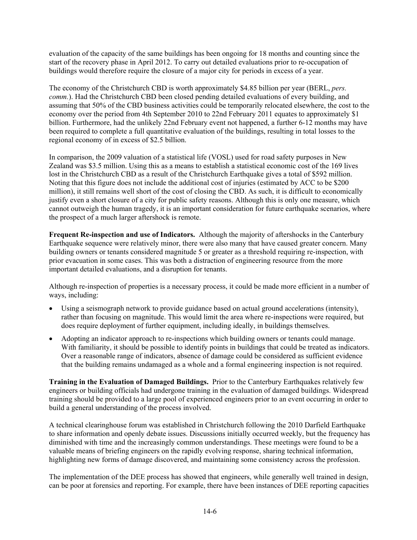evaluation of the capacity of the same buildings has been ongoing for 18 months and counting since the start of the recovery phase in April 2012. To carry out detailed evaluations prior to re-occupation of buildings would therefore require the closure of a major city for periods in excess of a year.

The economy of the Christchurch CBD is worth approximately \$4.85 billion per year (BERL, *pers. comm.*). Had the Christchurch CBD been closed pending detailed evaluations of every building, and assuming that 50% of the CBD business activities could be temporarily relocated elsewhere, the cost to the economy over the period from 4th September 2010 to 22nd February 2011 equates to approximately \$1 billion. Furthermore, had the unlikely 22nd February event not happened, a further 6-12 months may have been required to complete a full quantitative evaluation of the buildings, resulting in total losses to the regional economy of in excess of \$2.5 billion.

In comparison, the 2009 valuation of a statistical life (VOSL) used for road safety purposes in New Zealand was \$3.5 million. Using this as a means to establish a statistical economic cost of the 169 lives lost in the Christchurch CBD as a result of the Christchurch Earthquake gives a total of \$592 million. Noting that this figure does not include the additional cost of injuries (estimated by ACC to be \$200 million), it still remains well short of the cost of closing the CBD. As such, it is difficult to economically justify even a short closure of a city for public safety reasons. Although this is only one measure, which cannot outweigh the human tragedy, it is an important consideration for future earthquake scenarios, where the prospect of a much larger aftershock is remote.

**Frequent Re-inspection and use of Indicators.** Although the majority of aftershocks in the Canterbury Earthquake sequence were relatively minor, there were also many that have caused greater concern. Many building owners or tenants considered magnitude 5 or greater as a threshold requiring re-inspection, with prior evacuation in some cases. This was both a distraction of engineering resource from the more important detailed evaluations, and a disruption for tenants.

Although re-inspection of properties is a necessary process, it could be made more efficient in a number of ways, including:

- Using a seismograph network to provide guidance based on actual ground accelerations (intensity), rather than focusing on magnitude. This would limit the area where re-inspections were required, but does require deployment of further equipment, including ideally, in buildings themselves.
- Adopting an indicator approach to re-inspections which building owners or tenants could manage. With familiarity, it should be possible to identify points in buildings that could be treated as indicators. Over a reasonable range of indicators, absence of damage could be considered as sufficient evidence that the building remains undamaged as a whole and a formal engineering inspection is not required.

**Training in the Evaluation of Damaged Buildings.** Prior to the Canterbury Earthquakes relatively few engineers or building officials had undergone training in the evaluation of damaged buildings. Widespread training should be provided to a large pool of experienced engineers prior to an event occurring in order to build a general understanding of the process involved.

A technical clearinghouse forum was established in Christchurch following the 2010 Darfield Earthquake to share information and openly debate issues. Discussions initially occurred weekly, but the frequency has diminished with time and the increasingly common understandings. These meetings were found to be a valuable means of briefing engineers on the rapidly evolving response, sharing technical information, highlighting new forms of damage discovered, and maintaining some consistency across the profession.

The implementation of the DEE process has showed that engineers, while generally well trained in design, can be poor at forensics and reporting. For example, there have been instances of DEE reporting capacities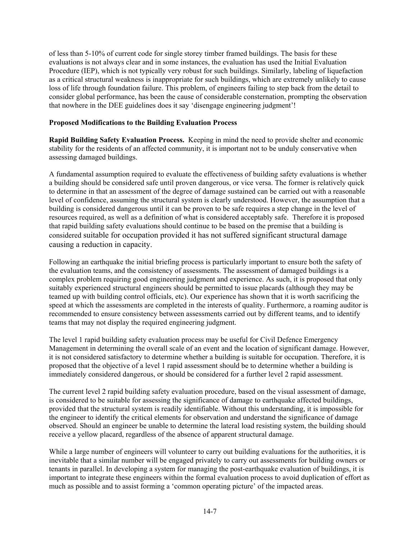of less than 5-10% of current code for single storey timber framed buildings. The basis for these evaluations is not always clear and in some instances, the evaluation has used the Initial Evaluation Procedure (IEP), which is not typically very robust for such buildings. Similarly, labeling of liquefaction as a critical structural weakness is inappropriate for such buildings, which are extremely unlikely to cause loss of life through foundation failure. This problem, of engineers failing to step back from the detail to consider global performance, has been the cause of considerable consternation, prompting the observation that nowhere in the DEE guidelines does it say 'disengage engineering judgment'!

# **Proposed Modifications to the Building Evaluation Process**

**Rapid Building Safety Evaluation Process.** Keeping in mind the need to provide shelter and economic stability for the residents of an affected community, it is important not to be unduly conservative when assessing damaged buildings.

A fundamental assumption required to evaluate the effectiveness of building safety evaluations is whether a building should be considered safe until proven dangerous, or vice versa. The former is relatively quick to determine in that an assessment of the degree of damage sustained can be carried out with a reasonable level of confidence, assuming the structural system is clearly understood. However, the assumption that a building is considered dangerous until it can be proven to be safe requires a step change in the level of resources required, as well as a definition of what is considered acceptably safe. Therefore it is proposed that rapid building safety evaluations should continue to be based on the premise that a building is considered suitable for occupation provided it has not suffered significant structural damage causing a reduction in capacity.

Following an earthquake the initial briefing process is particularly important to ensure both the safety of the evaluation teams, and the consistency of assessments. The assessment of damaged buildings is a complex problem requiring good engineering judgment and experience. As such, it is proposed that only suitably experienced structural engineers should be permitted to issue placards (although they may be teamed up with building control officials, etc). Our experience has shown that it is worth sacrificing the speed at which the assessments are completed in the interests of quality. Furthermore, a roaming auditor is recommended to ensure consistency between assessments carried out by different teams, and to identify teams that may not display the required engineering judgment.

The level 1 rapid building safety evaluation process may be useful for Civil Defence Emergency Management in determining the overall scale of an event and the location of significant damage. However, it is not considered satisfactory to determine whether a building is suitable for occupation. Therefore, it is proposed that the objective of a level 1 rapid assessment should be to determine whether a building is immediately considered dangerous, or should be considered for a further level 2 rapid assessment.

The current level 2 rapid building safety evaluation procedure, based on the visual assessment of damage, is considered to be suitable for assessing the significance of damage to earthquake affected buildings, provided that the structural system is readily identifiable. Without this understanding, it is impossible for the engineer to identify the critical elements for observation and understand the significance of damage observed. Should an engineer be unable to determine the lateral load resisting system, the building should receive a yellow placard, regardless of the absence of apparent structural damage.

While a large number of engineers will volunteer to carry out building evaluations for the authorities, it is inevitable that a similar number will be engaged privately to carry out assessments for building owners or tenants in parallel. In developing a system for managing the post-earthquake evaluation of buildings, it is important to integrate these engineers within the formal evaluation process to avoid duplication of effort as much as possible and to assist forming a 'common operating picture' of the impacted areas.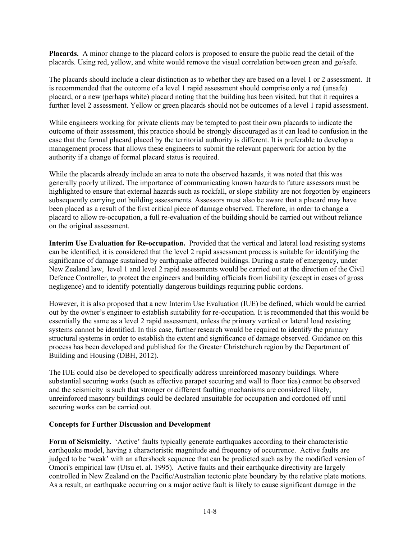**Placards.** A minor change to the placard colors is proposed to ensure the public read the detail of the placards. Using red, yellow, and white would remove the visual correlation between green and go/safe.

The placards should include a clear distinction as to whether they are based on a level 1 or 2 assessment. It is recommended that the outcome of a level 1 rapid assessment should comprise only a red (unsafe) placard, or a new (perhaps white) placard noting that the building has been visited, but that it requires a further level 2 assessment. Yellow or green placards should not be outcomes of a level 1 rapid assessment.

While engineers working for private clients may be tempted to post their own placards to indicate the outcome of their assessment, this practice should be strongly discouraged as it can lead to confusion in the case that the formal placard placed by the territorial authority is different. It is preferable to develop a management process that allows these engineers to submit the relevant paperwork for action by the authority if a change of formal placard status is required.

While the placards already include an area to note the observed hazards, it was noted that this was generally poorly utilized. The importance of communicating known hazards to future assessors must be highlighted to ensure that external hazards such as rockfall, or slope stability are not forgotten by engineers subsequently carrying out building assessments. Assessors must also be aware that a placard may have been placed as a result of the first critical piece of damage observed. Therefore, in order to change a placard to allow re-occupation, a full re-evaluation of the building should be carried out without reliance on the original assessment.

**Interim Use Evaluation for Re-occupation.** Provided that the vertical and lateral load resisting systems can be identified, it is considered that the level 2 rapid assessment process is suitable for identifying the significance of damage sustained by earthquake affected buildings. During a state of emergency, under New Zealand law, level 1 and level 2 rapid assessments would be carried out at the direction of the Civil Defence Controller, to protect the engineers and building officials from liability (except in cases of gross negligence) and to identify potentially dangerous buildings requiring public cordons.

However, it is also proposed that a new Interim Use Evaluation (IUE) be defined, which would be carried out by the owner's engineer to establish suitability for re-occupation. It is recommended that this would be essentially the same as a level 2 rapid assessment, unless the primary vertical or lateral load resisting systems cannot be identified. In this case, further research would be required to identify the primary structural systems in order to establish the extent and significance of damage observed. Guidance on this process has been developed and published for the Greater Christchurch region by the Department of Building and Housing (DBH, 2012).

The IUE could also be developed to specifically address unreinforced masonry buildings. Where substantial securing works (such as effective parapet securing and wall to floor ties) cannot be observed and the seismicity is such that stronger or different faulting mechanisms are considered likely, unreinforced masonry buildings could be declared unsuitable for occupation and cordoned off until securing works can be carried out.

# **Concepts for Further Discussion and Development**

**Form of Seismicity.** 'Active' faults typically generate earthquakes according to their characteristic earthquake model, having a characteristic magnitude and frequency of occurrence. Active faults are judged to be 'weak' with an aftershock sequence that can be predicted such as by the modified version of Omori's empirical law (Utsu et. al. 1995). Active faults and their earthquake directivity are largely controlled in New Zealand on the Pacific/Australian tectonic plate boundary by the relative plate motions. As a result, an earthquake occurring on a major active fault is likely to cause significant damage in the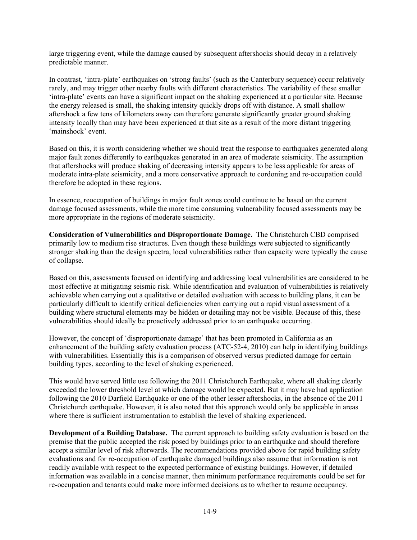large triggering event, while the damage caused by subsequent aftershocks should decay in a relatively predictable manner.

In contrast, 'intra-plate' earthquakes on 'strong faults' (such as the Canterbury sequence) occur relatively rarely, and may trigger other nearby faults with different characteristics. The variability of these smaller 'intra-plate' events can have a significant impact on the shaking experienced at a particular site. Because the energy released is small, the shaking intensity quickly drops off with distance. A small shallow aftershock a few tens of kilometers away can therefore generate significantly greater ground shaking intensity locally than may have been experienced at that site as a result of the more distant triggering 'mainshock' event.

Based on this, it is worth considering whether we should treat the response to earthquakes generated along major fault zones differently to earthquakes generated in an area of moderate seismicity. The assumption that aftershocks will produce shaking of decreasing intensity appears to be less applicable for areas of moderate intra-plate seismicity, and a more conservative approach to cordoning and re-occupation could therefore be adopted in these regions.

In essence, reoccupation of buildings in major fault zones could continue to be based on the current damage focused assessments, while the more time consuming vulnerability focused assessments may be more appropriate in the regions of moderate seismicity.

**Consideration of Vulnerabilities and Disproportionate Damage.** The Christchurch CBD comprised primarily low to medium rise structures. Even though these buildings were subjected to significantly stronger shaking than the design spectra, local vulnerabilities rather than capacity were typically the cause of collapse.

Based on this, assessments focused on identifying and addressing local vulnerabilities are considered to be most effective at mitigating seismic risk. While identification and evaluation of vulnerabilities is relatively achievable when carrying out a qualitative or detailed evaluation with access to building plans, it can be particularly difficult to identify critical deficiencies when carrying out a rapid visual assessment of a building where structural elements may be hidden or detailing may not be visible. Because of this, these vulnerabilities should ideally be proactively addressed prior to an earthquake occurring.

However, the concept of 'disproportionate damage' that has been promoted in California as an enhancement of the building safety evaluation process (ATC-52-4, 2010) can help in identifying buildings with vulnerabilities. Essentially this is a comparison of observed versus predicted damage for certain building types, according to the level of shaking experienced.

This would have served little use following the 2011 Christchurch Earthquake, where all shaking clearly exceeded the lower threshold level at which damage would be expected. But it may have had application following the 2010 Darfield Earthquake or one of the other lesser aftershocks, in the absence of the 2011 Christchurch earthquake. However, it is also noted that this approach would only be applicable in areas where there is sufficient instrumentation to establish the level of shaking experienced.

**Development of a Building Database.** The current approach to building safety evaluation is based on the premise that the public accepted the risk posed by buildings prior to an earthquake and should therefore accept a similar level of risk afterwards. The recommendations provided above for rapid building safety evaluations and for re-occupation of earthquake damaged buildings also assume that information is not readily available with respect to the expected performance of existing buildings. However, if detailed information was available in a concise manner, then minimum performance requirements could be set for re-occupation and tenants could make more informed decisions as to whether to resume occupancy.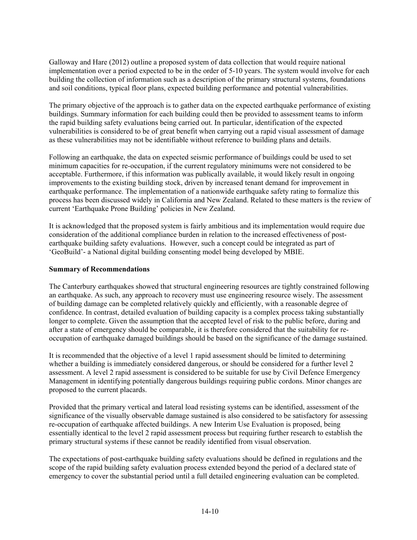Galloway and Hare (2012) outline a proposed system of data collection that would require national implementation over a period expected to be in the order of 5-10 years. The system would involve for each building the collection of information such as a description of the primary structural systems, foundations and soil conditions, typical floor plans, expected building performance and potential vulnerabilities.

The primary objective of the approach is to gather data on the expected earthquake performance of existing buildings. Summary information for each building could then be provided to assessment teams to inform the rapid building safety evaluations being carried out. In particular, identification of the expected vulnerabilities is considered to be of great benefit when carrying out a rapid visual assessment of damage as these vulnerabilities may not be identifiable without reference to building plans and details.

Following an earthquake, the data on expected seismic performance of buildings could be used to set minimum capacities for re-occupation, if the current regulatory minimums were not considered to be acceptable. Furthermore, if this information was publically available, it would likely result in ongoing improvements to the existing building stock, driven by increased tenant demand for improvement in earthquake performance. The implementation of a nationwide earthquake safety rating to formalize this process has been discussed widely in California and New Zealand. Related to these matters is the review of current 'Earthquake Prone Building' policies in New Zealand.

It is acknowledged that the proposed system is fairly ambitious and its implementation would require due consideration of the additional compliance burden in relation to the increased effectiveness of postearthquake building safety evaluations. However, such a concept could be integrated as part of 'GeoBuild'- a National digital building consenting model being developed by MBIE.

# **Summary of Recommendations**

The Canterbury earthquakes showed that structural engineering resources are tightly constrained following an earthquake. As such, any approach to recovery must use engineering resource wisely. The assessment of building damage can be completed relatively quickly and efficiently, with a reasonable degree of confidence. In contrast, detailed evaluation of building capacity is a complex process taking substantially longer to complete. Given the assumption that the accepted level of risk to the public before, during and after a state of emergency should be comparable, it is therefore considered that the suitability for reoccupation of earthquake damaged buildings should be based on the significance of the damage sustained.

It is recommended that the objective of a level 1 rapid assessment should be limited to determining whether a building is immediately considered dangerous, or should be considered for a further level 2 assessment. A level 2 rapid assessment is considered to be suitable for use by Civil Defence Emergency Management in identifying potentially dangerous buildings requiring public cordons. Minor changes are proposed to the current placards.

Provided that the primary vertical and lateral load resisting systems can be identified, assessment of the significance of the visually observable damage sustained is also considered to be satisfactory for assessing re-occupation of earthquake affected buildings. A new Interim Use Evaluation is proposed, being essentially identical to the level 2 rapid assessment process but requiring further research to establish the primary structural systems if these cannot be readily identified from visual observation.

The expectations of post-earthquake building safety evaluations should be defined in regulations and the scope of the rapid building safety evaluation process extended beyond the period of a declared state of emergency to cover the substantial period until a full detailed engineering evaluation can be completed.